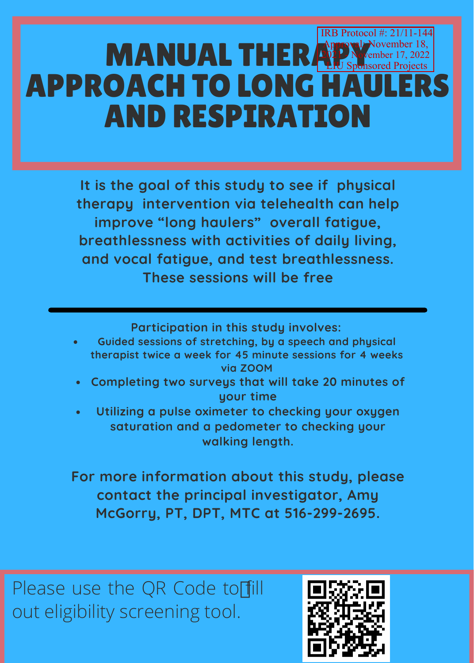## **MANUAL THERAPY Member 17, 2022 APPROACH TO LONG HA** AND RESPIRATION IRB Protocol #: 21/11-144 November 18, hsored Projects

**It is the goal of this study to see if physical therapy intervention via telehealth can help improve "long haulers" overall fatigue, breathlessness with activities of daily living, and vocal fatigue, and test breathlessness. These sessions will be free**

**Participation in this study involves:**

- **Guided sessions of stretching, by a speech and physical therapist twice a week for 45 minute sessions for 4 weeks via ZOOM**
- **Completing two surveys that will take 20 minutes of your time**
- **Utilizing a pulse oximeter to checking your oxygen saturation and a pedometer to checking your walking length.**

**For more information about this study, please contact the principal investigator, Amy McGorry, PT, DPT, MTC at 516-299-2695.**

Please use the QR Code to fill out eligibility screening tool.